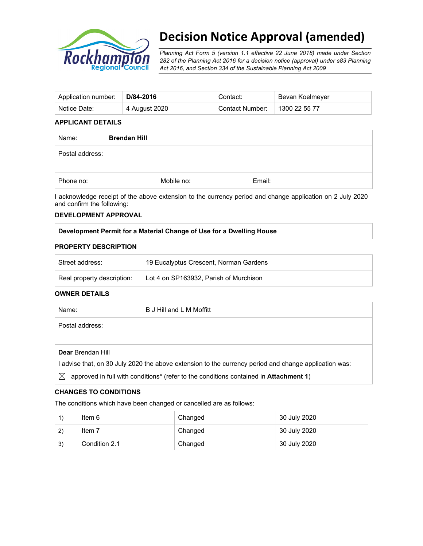

# **Decision Notice Approval (amended)**

*Planning Act Form 5 (version 1.1 effective 22 June 2018) made under Section 282 of the Planning Act 2016 for a decision notice (approval) under s83 Planning Act 2016, and Section 334 of the Sustainable Planning Act 2009*

| Application number: | D/84-2016     | Contact:        | Bevan Koelmeyer |
|---------------------|---------------|-----------------|-----------------|
| Notice Date:        | 4 August 2020 | Contact Number: | 1300 22 55 77   |

#### **APPLICANT DETAILS**

| Name:           | <b>Brendan Hill</b> |        |  |
|-----------------|---------------------|--------|--|
| Postal address: |                     |        |  |
| Phone no:       | Mobile no:          | Email: |  |

I acknowledge receipt of the above extension to the currency period and change application on 2 July 2020 and confirm the following:

#### **DEVELOPMENT APPROVAL**

#### **Development Permit for a Material Change of Use for a Dwelling House**

#### **PROPERTY DESCRIPTION**

| Street address:            | 19 Eucalyptus Crescent, Norman Gardens |
|----------------------------|----------------------------------------|
| Real property description: | Lot 4 on SP163932, Parish of Murchison |

#### **OWNER DETAILS**

| Name:                                                                                               | B J Hill and L M Moffitt |  |
|-----------------------------------------------------------------------------------------------------|--------------------------|--|
| Postal address:                                                                                     |                          |  |
|                                                                                                     |                          |  |
| Dear Brendan Hill                                                                                   |                          |  |
| advise that, on 30 July 2020 the above extension to the currency period and change application was: |                          |  |
|                                                                                                     |                          |  |

# $\boxtimes$  approved in full with conditions<sup>\*</sup> (refer to the conditions contained in **Attachment 1**)

## **CHANGES TO CONDITIONS**

The conditions which have been changed or cancelled are as follows:

|              | ltem 6        | Changed | 30 July 2020 |
|--------------|---------------|---------|--------------|
| $\mathbf{2}$ | Item 7        | Changed | 30 July 2020 |
| 3)           | Condition 2.1 | Changed | 30 July 2020 |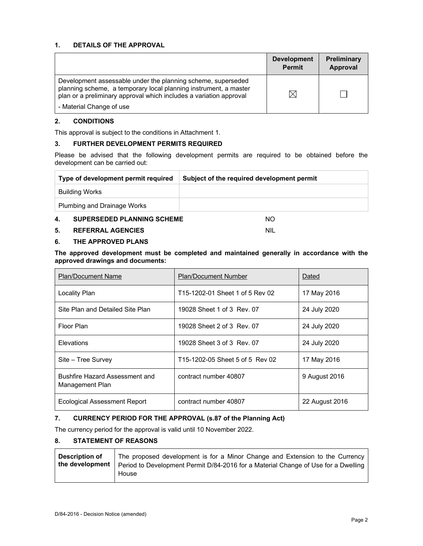## **1. DETAILS OF THE APPROVAL**

|                                                                                                                                                                                                        | <b>Development</b><br><b>Permit</b> | <b>Preliminary</b><br>Approval |
|--------------------------------------------------------------------------------------------------------------------------------------------------------------------------------------------------------|-------------------------------------|--------------------------------|
| Development assessable under the planning scheme, superseded<br>planning scheme, a temporary local planning instrument, a master<br>plan or a preliminary approval which includes a variation approval | ⋉                                   |                                |
| - Material Change of use                                                                                                                                                                               |                                     |                                |

#### **2. CONDITIONS**

This approval is subject to the conditions in Attachment 1.

#### **3. FURTHER DEVELOPMENT PERMITS REQUIRED**

Please be advised that the following development permits are required to be obtained before the development can be carried out:

| Type of development permit required     | Subject of the required development permit |  |
|-----------------------------------------|--------------------------------------------|--|
| Building Works                          |                                            |  |
| <b>Plumbing and Drainage Works</b>      |                                            |  |
| <b>SUPERSEDED PLANNING SCHEME</b><br>4. | NΟ                                         |  |

**5. REFERRAL AGENCIES** NIL

#### **6. THE APPROVED PLANS**

**The approved development must be completed and maintained generally in accordance with the approved drawings and documents:** 

| <b>Plan/Document Name</b>                                | <b>Plan/Document Number</b>     | Dated          |
|----------------------------------------------------------|---------------------------------|----------------|
| <b>Locality Plan</b>                                     | T15-1202-01 Sheet 1 of 5 Rev 02 | 17 May 2016    |
| Site Plan and Detailed Site Plan                         | 19028 Sheet 1 of 3 Rev. 07      | 24 July 2020   |
| Floor Plan                                               | 19028 Sheet 2 of 3 Rev. 07      | 24 July 2020   |
| Elevations                                               | 19028 Sheet 3 of 3 Rev. 07      | 24 July 2020   |
| Site - Tree Survey                                       | T15-1202-05 Sheet 5 of 5 Rev 02 | 17 May 2016    |
| <b>Bushfire Hazard Assessment and</b><br>Management Plan | contract number 40807           | 9 August 2016  |
| Ecological Assessment Report                             | contract number 40807           | 22 August 2016 |

# **7. CURRENCY PERIOD FOR THE APPROVAL (s.87 of the Planning Act)**

The currency period for the approval is valid until 10 November 2022.

#### **8. STATEMENT OF REASONS**

| <b>Description of</b> | The proposed development is for a Minor Change and Extension to the Currency       |
|-----------------------|------------------------------------------------------------------------------------|
| the development       | Period to Development Permit D/84-2016 for a Material Change of Use for a Dwelling |
|                       | House                                                                              |
|                       |                                                                                    |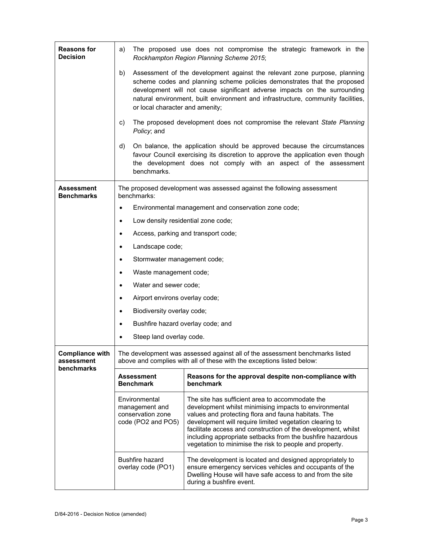| <b>Reasons for</b><br><b>Decision</b>              | a)                                                                                                                                                     | The proposed use does not compromise the strategic framework in the<br>Rockhampton Region Planning Scheme 2015;                                                                                                                                                                                                                                                                                                       |  |  |  |
|----------------------------------------------------|--------------------------------------------------------------------------------------------------------------------------------------------------------|-----------------------------------------------------------------------------------------------------------------------------------------------------------------------------------------------------------------------------------------------------------------------------------------------------------------------------------------------------------------------------------------------------------------------|--|--|--|
|                                                    | b)                                                                                                                                                     | Assessment of the development against the relevant zone purpose, planning<br>scheme codes and planning scheme policies demonstrates that the proposed<br>development will not cause significant adverse impacts on the surrounding<br>natural environment, built environment and infrastructure, community facilities,<br>or local character and amenity;                                                             |  |  |  |
|                                                    | C)<br>Policy; and                                                                                                                                      | The proposed development does not compromise the relevant State Planning                                                                                                                                                                                                                                                                                                                                              |  |  |  |
|                                                    | d)<br>benchmarks.                                                                                                                                      | On balance, the application should be approved because the circumstances<br>favour Council exercising its discretion to approve the application even though<br>the development does not comply with an aspect of the assessment                                                                                                                                                                                       |  |  |  |
| Assessment<br><b>Benchmarks</b>                    | benchmarks:                                                                                                                                            | The proposed development was assessed against the following assessment                                                                                                                                                                                                                                                                                                                                                |  |  |  |
|                                                    | $\bullet$                                                                                                                                              | Environmental management and conservation zone code;                                                                                                                                                                                                                                                                                                                                                                  |  |  |  |
|                                                    | $\bullet$                                                                                                                                              | Low density residential zone code;                                                                                                                                                                                                                                                                                                                                                                                    |  |  |  |
|                                                    | ٠                                                                                                                                                      | Access, parking and transport code;                                                                                                                                                                                                                                                                                                                                                                                   |  |  |  |
|                                                    | Landscape code;<br>$\bullet$                                                                                                                           |                                                                                                                                                                                                                                                                                                                                                                                                                       |  |  |  |
|                                                    | Stormwater management code;<br>$\bullet$                                                                                                               |                                                                                                                                                                                                                                                                                                                                                                                                                       |  |  |  |
|                                                    | Waste management code;<br>$\bullet$                                                                                                                    |                                                                                                                                                                                                                                                                                                                                                                                                                       |  |  |  |
|                                                    | Water and sewer code;<br>$\bullet$                                                                                                                     |                                                                                                                                                                                                                                                                                                                                                                                                                       |  |  |  |
|                                                    | Airport environs overlay code;<br>٠                                                                                                                    |                                                                                                                                                                                                                                                                                                                                                                                                                       |  |  |  |
|                                                    | Biodiversity overlay code;<br>$\bullet$                                                                                                                |                                                                                                                                                                                                                                                                                                                                                                                                                       |  |  |  |
|                                                    | ٠                                                                                                                                                      | Bushfire hazard overlay code; and                                                                                                                                                                                                                                                                                                                                                                                     |  |  |  |
|                                                    | Steep land overlay code.                                                                                                                               |                                                                                                                                                                                                                                                                                                                                                                                                                       |  |  |  |
| <b>Compliance with</b><br>assessment<br>benchmarks | The development was assessed against all of the assessment benchmarks listed<br>above and complies with all of these with the exceptions listed below: |                                                                                                                                                                                                                                                                                                                                                                                                                       |  |  |  |
|                                                    | <b>Assessment</b><br><b>Benchmark</b>                                                                                                                  | Reasons for the approval despite non-compliance with<br>benchmark                                                                                                                                                                                                                                                                                                                                                     |  |  |  |
|                                                    | Environmental<br>management and<br>conservation zone<br>code (PO2 and PO5)                                                                             | The site has sufficient area to accommodate the<br>development whilst minimising impacts to environmental<br>values and protecting flora and fauna habitats. The<br>development will require limited vegetation clearing to<br>facilitate access and construction of the development, whilst<br>including appropriate setbacks from the bushfire hazardous<br>vegetation to minimise the risk to people and property. |  |  |  |
|                                                    | <b>Bushfire hazard</b><br>overlay code (PO1)                                                                                                           | The development is located and designed appropriately to<br>ensure emergency services vehicles and occupants of the<br>Dwelling House will have safe access to and from the site<br>during a bushfire event.                                                                                                                                                                                                          |  |  |  |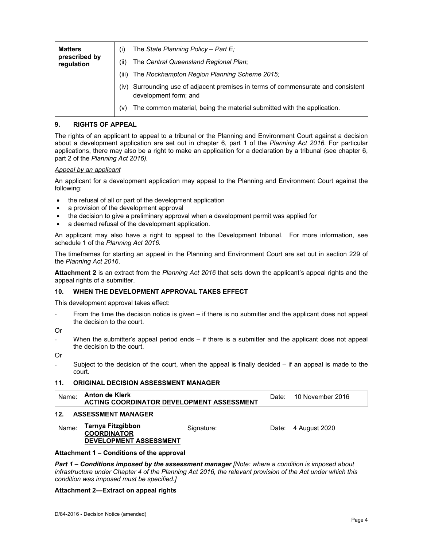| <b>Matters</b><br>prescribed by<br>regulation | The State Planning Policy - Part E;<br>(i)<br>The Central Queensland Regional Plan;<br>(ii)                   |
|-----------------------------------------------|---------------------------------------------------------------------------------------------------------------|
|                                               | The Rockhampton Region Planning Scheme 2015;<br>(iii)                                                         |
|                                               | Surrounding use of adjacent premises in terms of commensurate and consistent<br>(iv)<br>development form; and |
|                                               | The common material, being the material submitted with the application.<br>(v)                                |

# **9. RIGHTS OF APPEAL**

The rights of an applicant to appeal to a tribunal or the Planning and Environment Court against a decision about a development application are set out in chapter 6, part 1 of the *Planning Act 2016*. For particular applications, there may also be a right to make an application for a declaration by a tribunal (see chapter 6, part 2 of the *Planning Act 2016).*

#### *Appeal by an applicant*

An applicant for a development application may appeal to the Planning and Environment Court against the following:

- the refusal of all or part of the development application
- a provision of the development approval
- the decision to give a preliminary approval when a development permit was applied for
- a deemed refusal of the development application.

An applicant may also have a right to appeal to the Development tribunal. For more information, see schedule 1 of the *Planning Act 2016*.

The timeframes for starting an appeal in the Planning and Environment Court are set out in section 229 of the *Planning Act 2016*.

**Attachment 2** is an extract from the *Planning Act 2016* that sets down the applicant's appeal rights and the appeal rights of a submitter.

#### **10. WHEN THE DEVELOPMENT APPROVAL TAKES EFFECT**

This development approval takes effect:

From the time the decision notice is given  $-$  if there is no submitter and the applicant does not appeal the decision to the court.

Or

- When the submitter's appeal period ends  $-$  if there is a submitter and the applicant does not appeal the decision to the court.
- Or
	- Subject to the decision of the court, when the appeal is finally decided if an appeal is made to the court.

#### **11. ORIGINAL DECISION ASSESSMENT MANAGER**

| Anton de Klerk<br>Name: |                                           | Date: | 10 November 2016 |
|-------------------------|-------------------------------------------|-------|------------------|
|                         | ACTING COORDINATOR DEVELOPMENT ASSESSMENT |       |                  |

#### **12. ASSESSMENT MANAGER**

| Name: | Tarnya Fitzgibbon<br><b>COORDINATOR</b><br><b>DEVELOPMENT ASSESSMENT</b> | Signature: |  | Date: 4 August 2020 |
|-------|--------------------------------------------------------------------------|------------|--|---------------------|
|-------|--------------------------------------------------------------------------|------------|--|---------------------|

#### **Attachment 1 – Conditions of the approval**

*Part 1* **–** *Conditions imposed by the assessment manager [Note: where a condition is imposed about infrastructure under Chapter 4 of the Planning Act 2016, the relevant provision of the Act under which this condition was imposed must be specified.]*

#### **Attachment 2—Extract on appeal rights**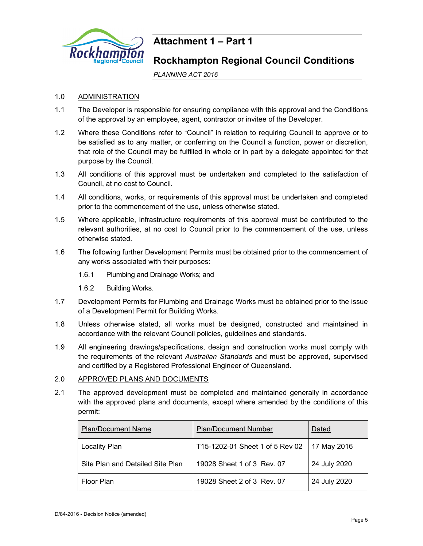

# **Attachment 1 – Part 1**

# **Rockhampton Regional Council Conditions**

*PLANNING ACT 2016*

# 1.0 ADMINISTRATION

- 1.1 The Developer is responsible for ensuring compliance with this approval and the Conditions of the approval by an employee, agent, contractor or invitee of the Developer.
- 1.2 Where these Conditions refer to "Council" in relation to requiring Council to approve or to be satisfied as to any matter, or conferring on the Council a function, power or discretion, that role of the Council may be fulfilled in whole or in part by a delegate appointed for that purpose by the Council.
- 1.3 All conditions of this approval must be undertaken and completed to the satisfaction of Council, at no cost to Council.
- 1.4 All conditions, works, or requirements of this approval must be undertaken and completed prior to the commencement of the use, unless otherwise stated.
- 1.5 Where applicable, infrastructure requirements of this approval must be contributed to the relevant authorities, at no cost to Council prior to the commencement of the use, unless otherwise stated.
- 1.6 The following further Development Permits must be obtained prior to the commencement of any works associated with their purposes:
	- 1.6.1 Plumbing and Drainage Works; and
	- 1.6.2 Building Works.
- 1.7 Development Permits for Plumbing and Drainage Works must be obtained prior to the issue of a Development Permit for Building Works.
- 1.8 Unless otherwise stated, all works must be designed, constructed and maintained in accordance with the relevant Council policies, guidelines and standards.
- 1.9 All engineering drawings/specifications, design and construction works must comply with the requirements of the relevant *Australian Standards* and must be approved, supervised and certified by a Registered Professional Engineer of Queensland.

# 2.0 APPROVED PLANS AND DOCUMENTS

2.1 The approved development must be completed and maintained generally in accordance with the approved plans and documents, except where amended by the conditions of this permit:

| <b>Plan/Document Name</b>        | <b>Plan/Document Number</b>     | Dated        |
|----------------------------------|---------------------------------|--------------|
| <b>Locality Plan</b>             | T15-1202-01 Sheet 1 of 5 Rev 02 | 17 May 2016  |
| Site Plan and Detailed Site Plan | 19028 Sheet 1 of 3 Rev. 07      | 24 July 2020 |
| Floor Plan                       | 19028 Sheet 2 of 3 Rev. 07      | 24 July 2020 |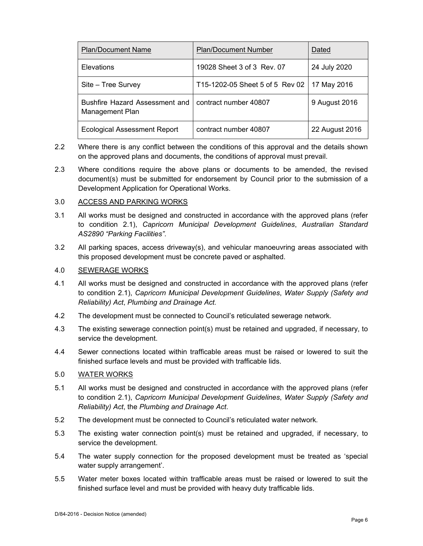| <b>Plan/Document Name</b>                         | <b>Plan/Document Number</b>     | Dated          |
|---------------------------------------------------|---------------------------------|----------------|
| <b>Elevations</b>                                 | 19028 Sheet 3 of 3 Rev. 07      | 24 July 2020   |
| Site - Tree Survey                                | T15-1202-05 Sheet 5 of 5 Rev 02 | 17 May 2016    |
| Bushfire Hazard Assessment and<br>Management Plan | contract number 40807           | 9 August 2016  |
| <b>Ecological Assessment Report</b>               | contract number 40807           | 22 August 2016 |

- 2.2 Where there is any conflict between the conditions of this approval and the details shown on the approved plans and documents, the conditions of approval must prevail.
- 2.3 Where conditions require the above plans or documents to be amended, the revised document(s) must be submitted for endorsement by Council prior to the submission of a Development Application for Operational Works.

# 3.0 ACCESS AND PARKING WORKS

- 3.1 All works must be designed and constructed in accordance with the approved plans (refer to condition 2.1), *Capricorn Municipal Development Guidelines*, *Australian Standard AS2890 "Parking Facilities"*.
- 3.2 All parking spaces, access driveway(s), and vehicular manoeuvring areas associated with this proposed development must be concrete paved or asphalted.

#### 4.0 SEWERAGE WORKS

- 4.1 All works must be designed and constructed in accordance with the approved plans (refer to condition 2.1), *Capricorn Municipal Development Guidelines*, *Water Supply (Safety and Reliability) Act*, *Plumbing and Drainage Act.*
- 4.2 The development must be connected to Council's reticulated sewerage network*.*
- 4.3 The existing sewerage connection point(s) must be retained and upgraded, if necessary, to service the development.
- 4.4 Sewer connections located within trafficable areas must be raised or lowered to suit the finished surface levels and must be provided with trafficable lids.

## 5.0 WATER WORKS

- 5.1 All works must be designed and constructed in accordance with the approved plans (refer to condition 2.1), *Capricorn Municipal Development Guidelines*, *Water Supply (Safety and Reliability) Act*, the *Plumbing and Drainage Act*.
- 5.2 The development must be connected to Council's reticulated water network*.*
- 5.3 The existing water connection point(s) must be retained and upgraded, if necessary, to service the development.
- 5.4 The water supply connection for the proposed development must be treated as 'special water supply arrangement'.
- 5.5 Water meter boxes located within trafficable areas must be raised or lowered to suit the finished surface level and must be provided with heavy duty trafficable lids.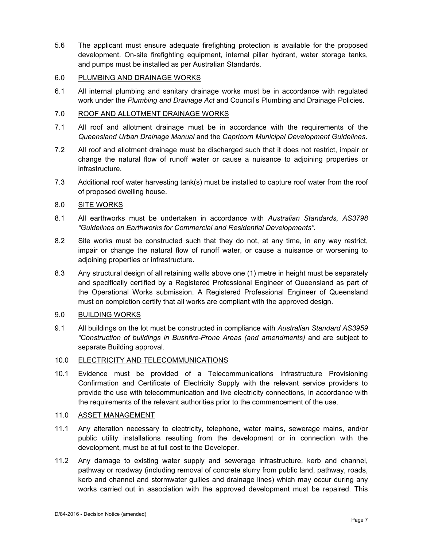5.6 The applicant must ensure adequate firefighting protection is available for the proposed development. On-site firefighting equipment, internal pillar hydrant, water storage tanks, and pumps must be installed as per Australian Standards.

# 6.0 PLUMBING AND DRAINAGE WORKS

6.1 All internal plumbing and sanitary drainage works must be in accordance with regulated work under the *Plumbing and Drainage Act* and Council's Plumbing and Drainage Policies.

# 7.0 ROOF AND ALLOTMENT DRAINAGE WORKS

- 7.1 All roof and allotment drainage must be in accordance with the requirements of the *Queensland Urban Drainage Manual* and the *Capricorn Municipal Development Guidelines*.
- 7.2 All roof and allotment drainage must be discharged such that it does not restrict, impair or change the natural flow of runoff water or cause a nuisance to adjoining properties or infrastructure.
- 7.3 Additional roof water harvesting tank(s) must be installed to capture roof water from the roof of proposed dwelling house.

# 8.0 SITE WORKS

- 8.1 All earthworks must be undertaken in accordance with *Australian Standards, AS3798 "Guidelines on Earthworks for Commercial and Residential Developments".*
- 8.2 Site works must be constructed such that they do not, at any time, in any way restrict, impair or change the natural flow of runoff water, or cause a nuisance or worsening to adjoining properties or infrastructure.
- 8.3 Any structural design of all retaining walls above one (1) metre in height must be separately and specifically certified by a Registered Professional Engineer of Queensland as part of the Operational Works submission. A Registered Professional Engineer of Queensland must on completion certify that all works are compliant with the approved design.

## 9.0 BUILDING WORKS

9.1 All buildings on the lot must be constructed in compliance with *Australian Standard AS3959 "Construction of buildings in Bushfire-Prone Areas (and amendments)* and are subject to separate Building approval.

#### 10.0 ELECTRICITY AND TELECOMMUNICATIONS

10.1 Evidence must be provided of a Telecommunications Infrastructure Provisioning Confirmation and Certificate of Electricity Supply with the relevant service providers to provide the use with telecommunication and live electricity connections, in accordance with the requirements of the relevant authorities prior to the commencement of the use.

#### 11.0 ASSET MANAGEMENT

- 11.1 Any alteration necessary to electricity, telephone, water mains, sewerage mains, and/or public utility installations resulting from the development or in connection with the development, must be at full cost to the Developer.
- 11.2 Any damage to existing water supply and sewerage infrastructure, kerb and channel, pathway or roadway (including removal of concrete slurry from public land, pathway, roads, kerb and channel and stormwater gullies and drainage lines) which may occur during any works carried out in association with the approved development must be repaired. This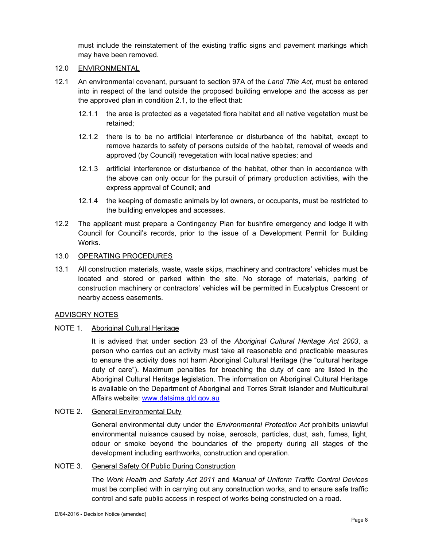must include the reinstatement of the existing traffic signs and pavement markings which may have been removed.

# 12.0 ENVIRONMENTAL

- 12.1 An environmental covenant, pursuant to section 97A of the *Land Title Act*, must be entered into in respect of the land outside the proposed building envelope and the access as per the approved plan in condition 2.1, to the effect that:
	- 12.1.1 the area is protected as a vegetated flora habitat and all native vegetation must be retained;
	- 12.1.2 there is to be no artificial interference or disturbance of the habitat, except to remove hazards to safety of persons outside of the habitat, removal of weeds and approved (by Council) revegetation with local native species; and
	- 12.1.3 artificial interference or disturbance of the habitat, other than in accordance with the above can only occur for the pursuit of primary production activities, with the express approval of Council; and
	- 12.1.4 the keeping of domestic animals by lot owners, or occupants, must be restricted to the building envelopes and accesses.
- 12.2 The applicant must prepare a Contingency Plan for bushfire emergency and lodge it with Council for Council's records, prior to the issue of a Development Permit for Building Works.

# 13.0 OPERATING PROCEDURES

13.1 All construction materials, waste, waste skips, machinery and contractors' vehicles must be located and stored or parked within the site. No storage of materials, parking of construction machinery or contractors' vehicles will be permitted in Eucalyptus Crescent or nearby access easements.

#### ADVISORY NOTES

# NOTE 1. Aboriginal Cultural Heritage

It is advised that under section 23 of the *Aboriginal Cultural Heritage Act 2003*, a person who carries out an activity must take all reasonable and practicable measures to ensure the activity does not harm Aboriginal Cultural Heritage (the "cultural heritage duty of care"). Maximum penalties for breaching the duty of care are listed in the Aboriginal Cultural Heritage legislation. The information on Aboriginal Cultural Heritage is available on the Department of Aboriginal and Torres Strait Islander and Multicultural Affairs website: www.datsima.qld.gov.au

# NOTE 2. General Environmental Duty

General environmental duty under the *Environmental Protection Act* prohibits unlawful environmental nuisance caused by noise, aerosols, particles, dust, ash, fumes, light, odour or smoke beyond the boundaries of the property during all stages of the development including earthworks, construction and operation.

# NOTE 3. General Safety Of Public During Construction

The *Work Health and Safety Act 2011* and *Manual of Uniform Traffic Control Devices* must be complied with in carrying out any construction works, and to ensure safe traffic control and safe public access in respect of works being constructed on a road.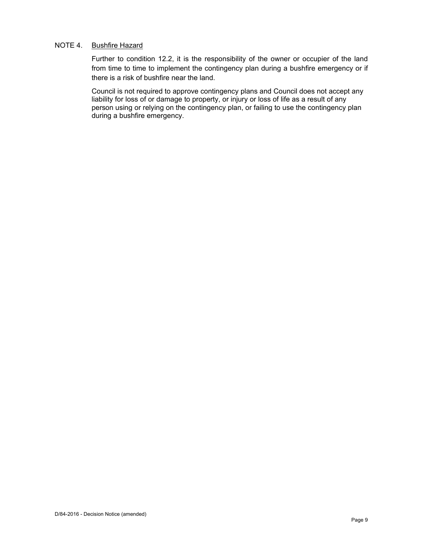# NOTE 4. Bushfire Hazard

Further to condition 12.2, it is the responsibility of the owner or occupier of the land from time to time to implement the contingency plan during a bushfire emergency or if there is a risk of bushfire near the land.

Council is not required to approve contingency plans and Council does not accept any liability for loss of or damage to property, or injury or loss of life as a result of any person using or relying on the contingency plan, or failing to use the contingency plan during a bushfire emergency.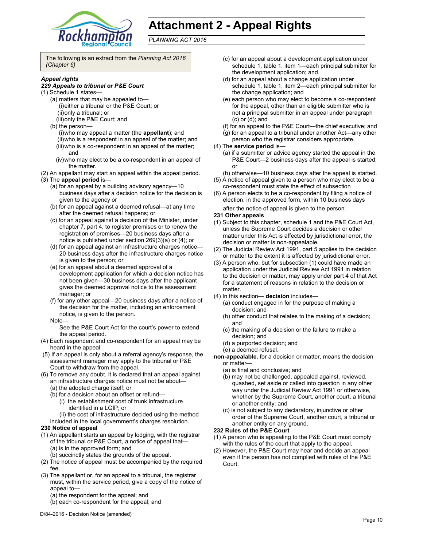

# **Attachment 2 - Appeal Rights**

*PLANNING ACT 2016*

The following is an extract from the *Planning Act 2016 (Chapter 6)* 

#### *Appeal rights*

#### *229 Appeals to tribunal or P&E Court*

- (1) Schedule 1 states—
	- (a) matters that may be appealed to— (i) either a tribunal or the P&E Court; or (ii) only a tribunal; or
		- (iii) only the P&E Court; and
	- (b) the person—
		- (i) who may appeal a matter (the **appellant**); and (ii) who is a respondent in an appeal of the matter; and (iii) who is a co-respondent in an appeal of the matter; and
		- (iv) who may elect to be a co-respondent in an appeal of the matter.
- (2) An appellant may start an appeal within the appeal period.
- (3) The **appeal period** is—
	- (a) for an appeal by a building advisory agency—10 business days after a decision notice for the decision is given to the agency or
	- (b) for an appeal against a deemed refusal—at any time after the deemed refusal happens; or
	- (c) for an appeal against a decision of the Minister, under chapter 7, part 4, to register premises or to renew the registration of premises—20 business days after a notice is published under section 269(3)(a) or (4); or
	- (d) for an appeal against an infrastructure charges notice— 20 business days after the infrastructure charges notice is given to the person; or
	- (e) for an appeal about a deemed approval of a development application for which a decision notice has not been given—30 business days after the applicant gives the deemed approval notice to the assessment manager; or
	- (f) for any other appeal—20 business days after a notice of the decision for the matter, including an enforcement notice, is given to the person.
	- Note—
		- See the P&E Court Act for the court's power to extend the appeal period.
- (4) Each respondent and co-respondent for an appeal may be heard in the appeal.
- (5) If an appeal is only about a referral agency's response, the assessment manager may apply to the tribunal or P&E Court to withdraw from the appeal.
- (6) To remove any doubt, it is declared that an appeal against an infrastructure charges notice must not be about—
	- (a) the adopted charge itself; or
	- (b) for a decision about an offset or refund—
		- (i) the establishment cost of trunk infrastructure identified in a LGIP; or
	- (ii) the cost of infrastructure decided using the method included in the local government's charges resolution.

#### **230 Notice of appeal**

- (1) An appellant starts an appeal by lodging, with the registrar of the tribunal or P&E Court, a notice of appeal that— (a) is in the approved form; and
	- (b) succinctly states the grounds of the appeal.
- (2) The notice of appeal must be accompanied by the required fee.
- (3) The appellant or, for an appeal to a tribunal, the registrar must, within the service period, give a copy of the notice of appeal to—
	- (a) the respondent for the appeal; and
	- (b) each co-respondent for the appeal; and
- (c) for an appeal about a development application under schedule 1, table 1, item 1—each principal submitter for the development application; and
- (d) for an appeal about a change application under schedule 1, table 1, item 2—each principal submitter for the change application; and
- (e) each person who may elect to become a co-respondent for the appeal, other than an eligible submitter who is not a principal submitter in an appeal under paragraph (c) or (d); and
- (f) for an appeal to the P&E Court—the chief executive; and
- (g) for an appeal to a tribunal under another Act—any other
- person who the registrar considers appropriate.
- (4) The **service period** is—
	- (a) if a submitter or advice agency started the appeal in the P&E Court—2 business days after the appeal is started; or
	- (b) otherwise—10 business days after the appeal is started.
- (5) A notice of appeal given to a person who may elect to be a co-respondent must state the effect of subsection
- (6) A person elects to be a co-respondent by filing a notice of election, in the approved form, within 10 business days after the notice of appeal is given to the person*.*

# **231 Other appeals**

- (1) Subject to this chapter, schedule 1 and the P&E Court Act, unless the Supreme Court decides a decision or other matter under this Act is affected by jurisdictional error, the decision or matter is non-appealable.
- (2) The Judicial Review Act 1991, part 5 applies to the decision or matter to the extent it is affected by jurisdictional error.
- (3) A person who, but for subsection (1) could have made an application under the Judicial Review Act 1991 in relation to the decision or matter, may apply under part 4 of that Act for a statement of reasons in relation to the decision or matter.
- (4) In this section— **decision** includes—
	- (a) conduct engaged in for the purpose of making a decision; and
	- (b) other conduct that relates to the making of a decision; and
	- (c) the making of a decision or the failure to make a decision; and
	- (d) a purported decision; and
	- (e) a deemed refusal.
- **non-appealable**, for a decision or matter, means the decision or matter—
	- (a) is final and conclusive; and
	- (b) may not be challenged, appealed against, reviewed, quashed, set aside or called into question in any other way under the Judicial Review Act 1991 or otherwise, whether by the Supreme Court, another court, a tribunal or another entity; and
	- (c) is not subject to any declaratory, injunctive or other order of the Supreme Court, another court, a tribunal or another entity on any ground.

#### **232 Rules of the P&E Court**

- (1) A person who is appealing to the P&E Court must comply with the rules of the court that apply to the appeal.
- (2) However, the P&E Court may hear and decide an appeal even if the person has not complied with rules of the P&E Court.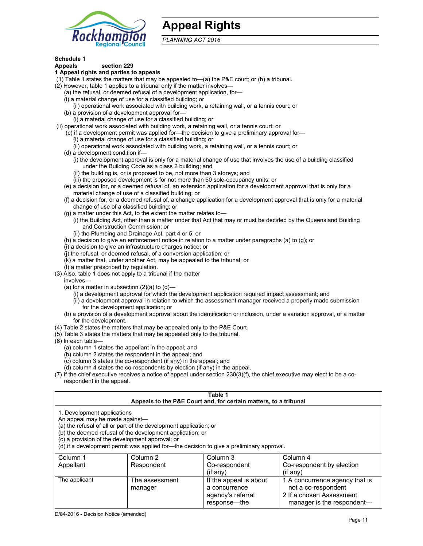

# **Appeal Rights**

*PLANNING ACT 2016*

# **Schedule 1**

#### **Appeals section 229 1 Appeal rights and parties to appeals**

- (1) Table 1 states the matters that may be appealed to—(a) the P&E court; or (b) a tribunal.
- (2) However, table 1 applies to a tribunal only if the matter involves—
	- (a) the refusal, or deemed refusal of a development application, for—
	- (i) a material change of use for a classified building; or
	- (ii) operational work associated with building work, a retaining wall, or a tennis court; or
	- (b) a provision of a development approval for—
	- (i) a material change of use for a classified building; or
- (ii) operational work associated with building work, a retaining wall, or a tennis court; or
	- (c) if a development permit was applied for—the decision to give a preliminary approval for—
		- (i) a material change of use for a classified building; or
		- (ii) operational work associated with building work, a retaining wall, or a tennis court; or
	- (d) a development condition if—
		- (i) the development approval is only for a material change of use that involves the use of a building classified under the Building Code as a class 2 building; and
		- (ii) the building is, or is proposed to be, not more than 3 storeys; and
		- (iii) the proposed development is for not more than 60 sole-occupancy units; or
	- (e) a decision for, or a deemed refusal of, an extension application for a development approval that is only for a material change of use of a classified building; or
	- (f) a decision for, or a deemed refusal of, a change application for a development approval that is only for a material change of use of a classified building; or
	- (g) a matter under this Act, to the extent the matter relates to—
		- (i) the Building Act, other than a matter under that Act that may or must be decided by the Queensland Building and Construction Commission; or
		- (ii) the Plumbing and Drainage Act, part 4 or 5; or
	- (h) a decision to give an enforcement notice in relation to a matter under paragraphs (a) to (g); or
	- (i) a decision to give an infrastructure charges notice; or
	- (j) the refusal, or deemed refusal, of a conversion application; or
	- (k) a matter that, under another Act, may be appealed to the tribunal; or
	- (l) a matter prescribed by regulation.
- (3) Also, table 1 does not apply to a tribunal if the matter
- involves—
	- (a) for a matter in subsection  $(2)(a)$  to  $(d)$ 
		- (i) a development approval for which the development application required impact assessment; and
		- (ii) a development approval in relation to which the assessment manager received a properly made submission for the development application; or
	- (b) a provision of a development approval about the identification or inclusion, under a variation approval, of a matter for the development.
- (4) Table 2 states the matters that may be appealed only to the P&E Court.
- (5) Table 3 states the matters that may be appealed only to the tribunal.
- (6) In each table—
	- (a) column 1 states the appellant in the appeal; and
	- (b) column 2 states the respondent in the appeal; and
	- (c) column 3 states the co-respondent (if any) in the appeal; and
	- (d) column 4 states the co-respondents by election (if any) in the appeal.
- (7) If the chief executive receives a notice of appeal under section 230(3)(f), the chief executive may elect to be a corespondent in the appeal.

| Table 1<br>Appeals to the P&E Court and, for certain matters, to a tribunal                                                                                                                                                                                                                                                                    |                |                        |                                |  |  |
|------------------------------------------------------------------------------------------------------------------------------------------------------------------------------------------------------------------------------------------------------------------------------------------------------------------------------------------------|----------------|------------------------|--------------------------------|--|--|
| 1. Development applications<br>An appeal may be made against-<br>(a) the refusal of all or part of the development application; or<br>(b) the deemed refusal of the development application; or<br>(c) a provision of the development approval; or<br>(d) if a development permit was applied for—the decision to give a preliminary approval. |                |                        |                                |  |  |
| Column 1                                                                                                                                                                                                                                                                                                                                       | Column 2       | Column 3               | Column 4                       |  |  |
| Appellant                                                                                                                                                                                                                                                                                                                                      | Respondent     | Co-respondent          | Co-respondent by election      |  |  |
| $(if$ any)<br>$(if$ any)                                                                                                                                                                                                                                                                                                                       |                |                        |                                |  |  |
| The applicant                                                                                                                                                                                                                                                                                                                                  | The assessment | If the appeal is about | 1 A concurrence agency that is |  |  |
|                                                                                                                                                                                                                                                                                                                                                | manager        | a concurrence          | not a co-respondent            |  |  |
|                                                                                                                                                                                                                                                                                                                                                |                | agency's referral      | 2 If a chosen Assessment       |  |  |

response—the

manager is the respondent-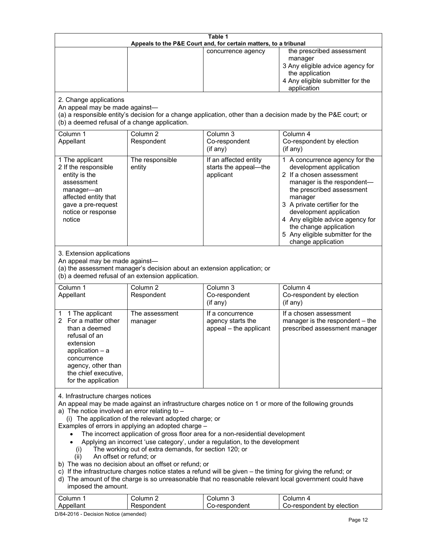| Table 1<br>Appeals to the P&E Court and, for certain matters, to a tribunal                                                                                                                                                                                                                                                                                                                                                                                                                                                                                                                                                                                                                                                                                                                                                                                                                                                                            |                                   |                                                                 |                                                                                                                                                                                                                                                                                                                                                 |  |
|--------------------------------------------------------------------------------------------------------------------------------------------------------------------------------------------------------------------------------------------------------------------------------------------------------------------------------------------------------------------------------------------------------------------------------------------------------------------------------------------------------------------------------------------------------------------------------------------------------------------------------------------------------------------------------------------------------------------------------------------------------------------------------------------------------------------------------------------------------------------------------------------------------------------------------------------------------|-----------------------------------|-----------------------------------------------------------------|-------------------------------------------------------------------------------------------------------------------------------------------------------------------------------------------------------------------------------------------------------------------------------------------------------------------------------------------------|--|
|                                                                                                                                                                                                                                                                                                                                                                                                                                                                                                                                                                                                                                                                                                                                                                                                                                                                                                                                                        |                                   | concurrence agency                                              | the prescribed assessment<br>manager<br>3 Any eligible advice agency for<br>the application<br>4 Any eligible submitter for the<br>application                                                                                                                                                                                                  |  |
| 2. Change applications<br>An appeal may be made against-<br>(b) a deemed refusal of a change application.                                                                                                                                                                                                                                                                                                                                                                                                                                                                                                                                                                                                                                                                                                                                                                                                                                              |                                   |                                                                 | (a) a responsible entity's decision for a change application, other than a decision made by the P&E court; or                                                                                                                                                                                                                                   |  |
| Column 1<br>Appellant                                                                                                                                                                                                                                                                                                                                                                                                                                                                                                                                                                                                                                                                                                                                                                                                                                                                                                                                  | Column <sub>2</sub><br>Respondent | Column 3<br>Co-respondent<br>(if any)                           | Column 4<br>Co-respondent by election<br>(if any)                                                                                                                                                                                                                                                                                               |  |
| 1 The applicant<br>2 If the responsible<br>entity is the<br>assessment<br>manager-an<br>affected entity that<br>gave a pre-request<br>notice or response<br>notice                                                                                                                                                                                                                                                                                                                                                                                                                                                                                                                                                                                                                                                                                                                                                                                     | The responsible<br>entity         | If an affected entity<br>starts the appeal-the<br>applicant     | 1 A concurrence agency for the<br>development application<br>2 If a chosen assessment<br>manager is the respondent-<br>the prescribed assessment<br>manager<br>3 A private certifier for the<br>development application<br>4 Any eligible advice agency for<br>the change application<br>5 Any eligible submitter for the<br>change application |  |
| 3. Extension applications<br>An appeal may be made against-<br>(a) the assessment manager's decision about an extension application; or<br>(b) a deemed refusal of an extension application.                                                                                                                                                                                                                                                                                                                                                                                                                                                                                                                                                                                                                                                                                                                                                           |                                   |                                                                 |                                                                                                                                                                                                                                                                                                                                                 |  |
| Column 1<br>Appellant                                                                                                                                                                                                                                                                                                                                                                                                                                                                                                                                                                                                                                                                                                                                                                                                                                                                                                                                  | Column <sub>2</sub><br>Respondent | Column 3<br>Co-respondent<br>(if any)                           | Column 4<br>Co-respondent by election<br>(if any)                                                                                                                                                                                                                                                                                               |  |
| 1 The applicant<br>1.<br>For a matter other<br>2<br>than a deemed<br>refusal of an<br>extension<br>application $-$ a<br>concurrence<br>agency, other than<br>the chief executive,<br>for the application                                                                                                                                                                                                                                                                                                                                                                                                                                                                                                                                                                                                                                                                                                                                               | The assessment<br>manager         | If a concurrence<br>agency starts the<br>appeal - the applicant | If a chosen assessment<br>manager is the respondent - the<br>prescribed assessment manager                                                                                                                                                                                                                                                      |  |
| 4. Infrastructure charges notices<br>An appeal may be made against an infrastructure charges notice on 1 or more of the following grounds<br>a) The notice involved an error relating to $-$<br>(i) The application of the relevant adopted charge; or<br>Examples of errors in applying an adopted charge -<br>The incorrect application of gross floor area for a non-residential development<br>Applying an incorrect 'use category', under a regulation, to the development<br>The working out of extra demands, for section 120; or<br>(i)<br>An offset or refund; or<br>(ii)<br>b) The was no decision about an offset or refund; or<br>c) If the infrastructure charges notice states a refund will be given - the timing for giving the refund; or<br>d) The amount of the charge is so unreasonable that no reasonable relevant local government could have<br>imposed the amount.<br>Column <sub>2</sub><br>Column 3<br>Column 4<br>Column 1 |                                   |                                                                 |                                                                                                                                                                                                                                                                                                                                                 |  |

D/84-2016 - Decision Notice (amended)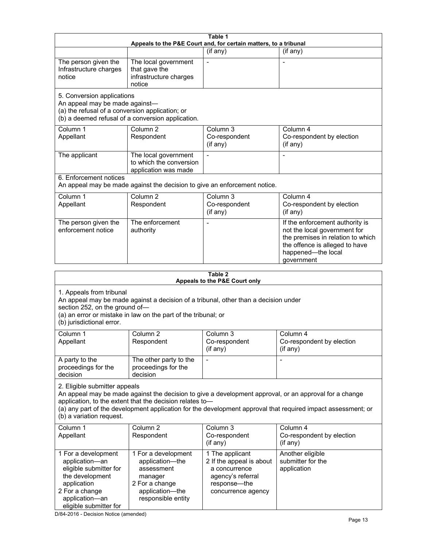| Table 1<br>Appeals to the P&E Court and, for certain matters, to a tribunal                                                                                                                                                                                                                                                                     |                                                                                                                            |                                                                                                                         |                                                                                                                                                                            |  |
|-------------------------------------------------------------------------------------------------------------------------------------------------------------------------------------------------------------------------------------------------------------------------------------------------------------------------------------------------|----------------------------------------------------------------------------------------------------------------------------|-------------------------------------------------------------------------------------------------------------------------|----------------------------------------------------------------------------------------------------------------------------------------------------------------------------|--|
|                                                                                                                                                                                                                                                                                                                                                 |                                                                                                                            | (if any)                                                                                                                | (if any)                                                                                                                                                                   |  |
| The person given the<br>Infrastructure charges<br>notice                                                                                                                                                                                                                                                                                        | The local government<br>that gave the<br>infrastructure charges<br>notice                                                  | $\blacksquare$                                                                                                          | $\overline{\phantom{a}}$                                                                                                                                                   |  |
| 5. Conversion applications<br>An appeal may be made against-<br>(a) the refusal of a conversion application; or                                                                                                                                                                                                                                 | (b) a deemed refusal of a conversion application.                                                                          |                                                                                                                         |                                                                                                                                                                            |  |
| Column 1<br>Appellant                                                                                                                                                                                                                                                                                                                           | Column <sub>2</sub><br>Respondent                                                                                          | Column <sub>3</sub><br>Co-respondent<br>(if any)                                                                        | Column 4<br>Co-respondent by election<br>(if any)                                                                                                                          |  |
| The applicant                                                                                                                                                                                                                                                                                                                                   | The local government<br>to which the conversion<br>application was made                                                    |                                                                                                                         |                                                                                                                                                                            |  |
| 6. Enforcement notices                                                                                                                                                                                                                                                                                                                          | An appeal may be made against the decision to give an enforcement notice.                                                  |                                                                                                                         |                                                                                                                                                                            |  |
| Column 1<br>Appellant                                                                                                                                                                                                                                                                                                                           | Column <sub>2</sub><br>Respondent                                                                                          | Column 3<br>Co-respondent<br>(if any)                                                                                   | Column 4<br>Co-respondent by election<br>(if any)                                                                                                                          |  |
| The person given the<br>enforcement notice                                                                                                                                                                                                                                                                                                      | The enforcement<br>authority                                                                                               |                                                                                                                         | If the enforcement authority is<br>not the local government for<br>the premises in relation to which<br>the offence is alleged to have<br>happened-the local<br>government |  |
|                                                                                                                                                                                                                                                                                                                                                 |                                                                                                                            | Table 2                                                                                                                 |                                                                                                                                                                            |  |
|                                                                                                                                                                                                                                                                                                                                                 |                                                                                                                            | Appeals to the P&E Court only                                                                                           |                                                                                                                                                                            |  |
| 1. Appeals from tribunal<br>An appeal may be made against a decision of a tribunal, other than a decision under<br>section 252, on the ground of-<br>(a) an error or mistake in law on the part of the tribunal; or<br>(b) jurisdictional error.                                                                                                |                                                                                                                            |                                                                                                                         |                                                                                                                                                                            |  |
| Column 1<br>Appellant                                                                                                                                                                                                                                                                                                                           | Column 2<br>Respondent                                                                                                     | Column 3<br>Co-respondent<br>(if any)                                                                                   | Column 4<br>Co-respondent by election<br>(if any)                                                                                                                          |  |
| A party to the<br>proceedings for the<br>decision                                                                                                                                                                                                                                                                                               | The other party to the<br>proceedings for the<br>decision                                                                  |                                                                                                                         |                                                                                                                                                                            |  |
| 2. Eligible submitter appeals<br>An appeal may be made against the decision to give a development approval, or an approval for a change<br>application, to the extent that the decision relates to-<br>(a) any part of the development application for the development approval that required impact assessment; or<br>(b) a variation request. |                                                                                                                            |                                                                                                                         |                                                                                                                                                                            |  |
| Column 1<br>Appellant                                                                                                                                                                                                                                                                                                                           | Column <sub>2</sub><br>Respondent                                                                                          | Column 3<br>Co-respondent<br>(if any)                                                                                   | Column 4<br>Co-respondent by election<br>(if any)                                                                                                                          |  |
| 1 For a development<br>application-an<br>eligible submitter for<br>the development<br>application<br>2 For a change<br>application-an<br>eligible submitter for                                                                                                                                                                                 | 1 For a development<br>application-the<br>assessment<br>manager<br>2 For a change<br>application-the<br>responsible entity | 1 The applicant<br>2 If the appeal is about<br>a concurrence<br>agency's referral<br>response-the<br>concurrence agency | Another eligible<br>submitter for the<br>application                                                                                                                       |  |

D/84-2016 - Decision Notice (amended)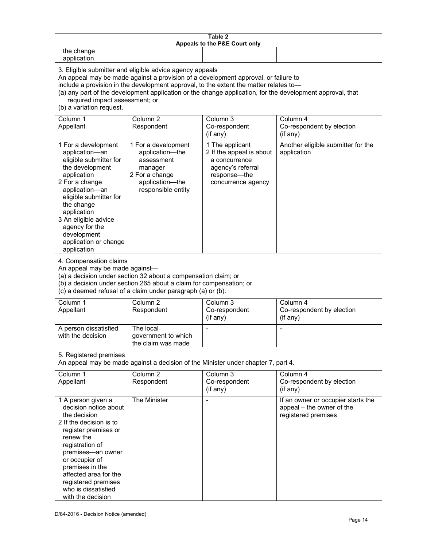| Table 2<br>Appeals to the P&E Court only                                                                                                                                                                                                                                                                                                                                                                           |                                                                                                                            |                                                                                                                         |                                                                                        |  |  |
|--------------------------------------------------------------------------------------------------------------------------------------------------------------------------------------------------------------------------------------------------------------------------------------------------------------------------------------------------------------------------------------------------------------------|----------------------------------------------------------------------------------------------------------------------------|-------------------------------------------------------------------------------------------------------------------------|----------------------------------------------------------------------------------------|--|--|
| the change<br>application                                                                                                                                                                                                                                                                                                                                                                                          |                                                                                                                            |                                                                                                                         |                                                                                        |  |  |
| 3. Eligible submitter and eligible advice agency appeals<br>An appeal may be made against a provision of a development approval, or failure to<br>include a provision in the development approval, to the extent the matter relates to-<br>(a) any part of the development application or the change application, for the development approval, that<br>required impact assessment; or<br>(b) a variation request. |                                                                                                                            |                                                                                                                         |                                                                                        |  |  |
| Column 1<br>Appellant                                                                                                                                                                                                                                                                                                                                                                                              | Column <sub>2</sub><br>Respondent                                                                                          | Column 3<br>Co-respondent<br>(if any)                                                                                   | Column 4<br>Co-respondent by election<br>(if any)                                      |  |  |
| 1 For a development<br>application-an<br>eligible submitter for<br>the development<br>application<br>2 For a change<br>application-an<br>eligible submitter for<br>the change<br>application<br>3 An eligible advice<br>agency for the<br>development<br>application or change<br>application                                                                                                                      | 1 For a development<br>application-the<br>assessment<br>manager<br>2 For a change<br>application-the<br>responsible entity | 1 The applicant<br>2 If the appeal is about<br>a concurrence<br>agency's referral<br>response-the<br>concurrence agency | Another eligible submitter for the<br>application                                      |  |  |
| 4. Compensation claims<br>An appeal may be made against-<br>(a) a decision under section 32 about a compensation claim; or<br>(b) a decision under section 265 about a claim for compensation; or<br>(c) a deemed refusal of a claim under paragraph (a) or (b).                                                                                                                                                   |                                                                                                                            |                                                                                                                         |                                                                                        |  |  |
| Column 1<br>Appellant                                                                                                                                                                                                                                                                                                                                                                                              | Column <sub>2</sub><br>Respondent                                                                                          | Column $3$<br>Co-respondent<br>(if any)                                                                                 | Column 4<br>Co-respondent by election<br>(if any)                                      |  |  |
| A person dissatisfied<br>with the decision                                                                                                                                                                                                                                                                                                                                                                         | The local<br>government to which<br>the claim was made                                                                     |                                                                                                                         |                                                                                        |  |  |
| 5. Registered premises<br>An appeal may be made against a decision of the Minister under chapter 7, part 4.                                                                                                                                                                                                                                                                                                        |                                                                                                                            |                                                                                                                         |                                                                                        |  |  |
| Column 1<br>Appellant                                                                                                                                                                                                                                                                                                                                                                                              | Column <sub>2</sub><br>Respondent                                                                                          | Column 3<br>Co-respondent<br>(if any)                                                                                   | Column 4<br>Co-respondent by election<br>(if any)                                      |  |  |
| 1 A person given a<br>decision notice about<br>the decision<br>2 If the decision is to<br>register premises or<br>renew the<br>registration of<br>premises-an owner<br>or occupier of<br>premises in the<br>affected area for the<br>registered premises<br>who is dissatisfied<br>with the decision                                                                                                               | The Minister                                                                                                               |                                                                                                                         | If an owner or occupier starts the<br>appeal - the owner of the<br>registered premises |  |  |